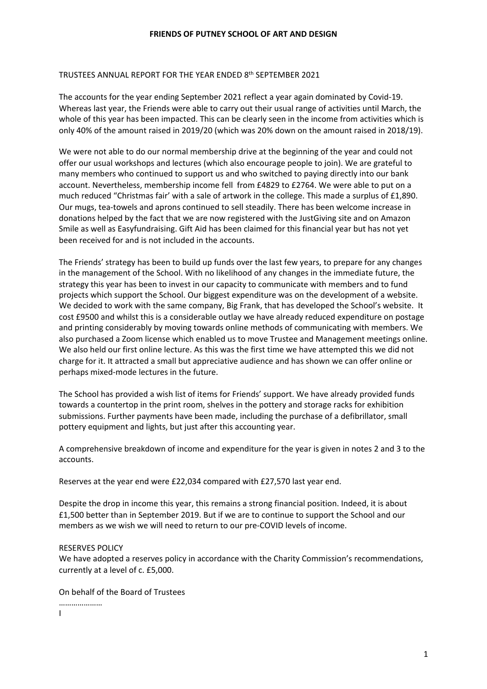### TRUSTEES ANNUAL REPORT FOR THE YEAR ENDED 8th SEPTEMBER 2021

The accounts for the year ending September 2021 reflect a year again dominated by Covid-19. Whereas last year, the Friends were able to carry out their usual range of activities until March, the whole of this year has been impacted. This can be clearly seen in the income from activities which is only 40% of the amount raised in 2019/20 (which was 20% down on the amount raised in 2018/19).

We were not able to do our normal membership drive at the beginning of the year and could not offer our usual workshops and lectures (which also encourage people to join). We are grateful to many members who continued to support us and who switched to paying directly into our bank account. Nevertheless, membership income fell from £4829 to £2764. We were able to put on a much reduced "Christmas fair' with a sale of artwork in the college. This made a surplus of £1,890. Our mugs, tea-towels and aprons continued to sell steadily. There has been welcome increase in donations helped by the fact that we are now registered with the JustGiving site and on Amazon Smile as well as Easyfundraising. Gift Aid has been claimed for this financial year but has not yet been received for and is not included in the accounts.

The Friends' strategy has been to build up funds over the last few years, to prepare for any changes in the management of the School. With no likelihood of any changes in the immediate future, the strategy this year has been to invest in our capacity to communicate with members and to fund projects which support the School. Our biggest expenditure was on the development of a website. We decided to work with the same company, Big Frank, that has developed the School's website. It cost £9500 and whilst this is a considerable outlay we have already reduced expenditure on postage and printing considerably by moving towards online methods of communicating with members. We also purchased a Zoom license which enabled us to move Trustee and Management meetings online. We also held our first online lecture. As this was the first time we have attempted this we did not charge for it. It attracted a small but appreciative audience and has shown we can offer online or perhaps mixed-mode lectures in the future.

The School has provided a wish list of items for Friends' support. We have already provided funds towards a countertop in the print room, shelves in the pottery and storage racks for exhibition submissions. Further payments have been made, including the purchase of a defibrillator, small pottery equipment and lights, but just after this accounting year.

A comprehensive breakdown of income and expenditure for the year is given in notes 2 and 3 to the accounts.

Reserves at the year end were £22,034 compared with £27,570 last year end.

Despite the drop in income this year, this remains a strong financial position. Indeed, it is about £1,500 better than in September 2019. But if we are to continue to support the School and our members as we wish we will need to return to our pre-COVID levels of income.

#### **RESERVES POLICY**

We have adopted a reserves policy in accordance with the Charity Commission's recommendations, currently at a level of c. £5,000.

On behalf of the Board of Trustees

…………………… I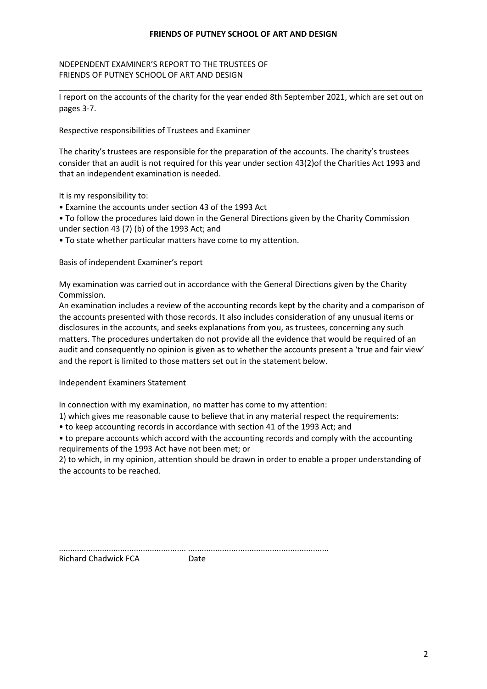## NDEPENDENT EXAMINER'S REPORT TO THE TRUSTEES OF FRIENDS OF PUTNEY SCHOOL OF ART AND DESIGN

\_\_\_\_\_\_\_\_\_\_\_\_\_\_\_\_\_\_\_\_\_\_\_\_\_\_\_\_\_\_\_\_\_\_\_\_\_\_\_\_\_\_\_\_\_\_\_\_\_\_\_\_\_\_\_\_\_\_\_\_\_\_\_\_\_\_\_\_\_\_\_\_\_\_\_\_\_\_\_\_\_ I report on the accounts of the charity for the year ended 8th September 2021, which are set out on pages 3-7.

Respective responsibilities of Trustees and Examiner

The charity's trustees are responsible for the preparation of the accounts. The charity's trustees consider that an audit is not required for this year under section 43(2)of the Charities Act 1993 and that an independent examination is needed.

It is my responsibility to:

- Examine the accounts under section 43 of the 1993 Act
- To follow the procedures laid down in the General Directions given by the Charity Commission under section 43 $(7)(b)$  of the 1993 Act; and
- To state whether particular matters have come to my attention.

Basis of independent Examiner's report

My examination was carried out in accordance with the General Directions given by the Charity Commission.

An examination includes a review of the accounting records kept by the charity and a comparison of the accounts presented with those records. It also includes consideration of any unusual items or disclosures in the accounts, and seeks explanations from you, as trustees, concerning any such matters. The procedures undertaken do not provide all the evidence that would be required of an audit and consequently no opinion is given as to whether the accounts present a 'true and fair view' and the report is limited to those matters set out in the statement below.

Independent Examiners Statement

In connection with my examination, no matter has come to my attention:

1) which gives me reasonable cause to believe that in any material respect the requirements:

• to keep accounting records in accordance with section 41 of the 1993 Act; and

• to prepare accounts which accord with the accounting records and comply with the accounting requirements of the 1993 Act have not been met; or

2) to which, in my opinion, attention should be drawn in order to enable a proper understanding of the accounts to be reached.

| <b>Richard Chadwick FCA</b> | Aate |
|-----------------------------|------|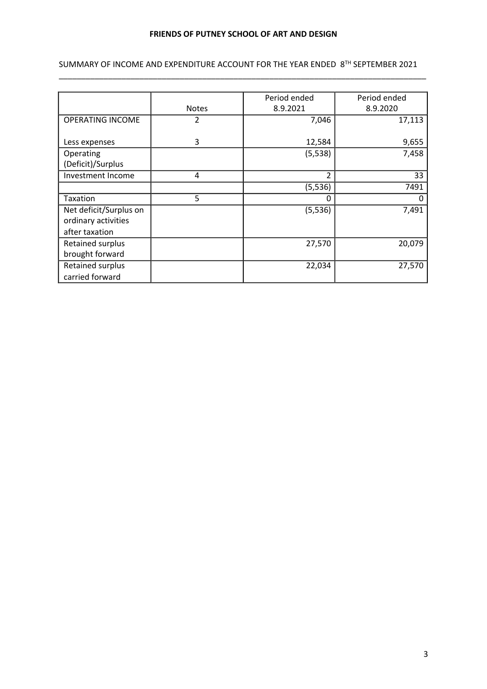## SUMMARY OF INCOME AND EXPENDITURE ACCOUNT FOR THE YEAR ENDED 8TH SEPTEMBER 2021 \_\_\_\_\_\_\_\_\_\_\_\_\_\_\_\_\_\_\_\_\_\_\_\_\_\_\_\_\_\_\_\_\_\_\_\_\_\_\_\_\_\_\_\_\_\_\_\_\_\_\_\_\_\_\_\_\_\_\_\_\_\_\_\_\_\_\_\_\_\_\_\_\_\_\_\_\_\_\_\_\_\_

|                         |              | Period ended  | Period ended |
|-------------------------|--------------|---------------|--------------|
|                         | <b>Notes</b> | 8.9.2021      | 8.9.2020     |
| <b>OPERATING INCOME</b> | 2            | 7,046         | 17,113       |
|                         |              |               |              |
| Less expenses           | 3            | 12,584        | 9,655        |
| Operating               |              | (5, 538)      | 7,458        |
| (Deficit)/Surplus       |              |               |              |
| Investment Income       | 4            | $\mathcal{P}$ | 33           |
|                         |              | (5, 536)      | 7491         |
| Taxation                | 5            | 0             | 0            |
| Net deficit/Surplus on  |              | (5, 536)      | 7,491        |
| ordinary activities     |              |               |              |
| after taxation          |              |               |              |
| <b>Retained surplus</b> |              | 27,570        | 20,079       |
| brought forward         |              |               |              |
| <b>Retained surplus</b> |              | 22,034        | 27,570       |
| carried forward         |              |               |              |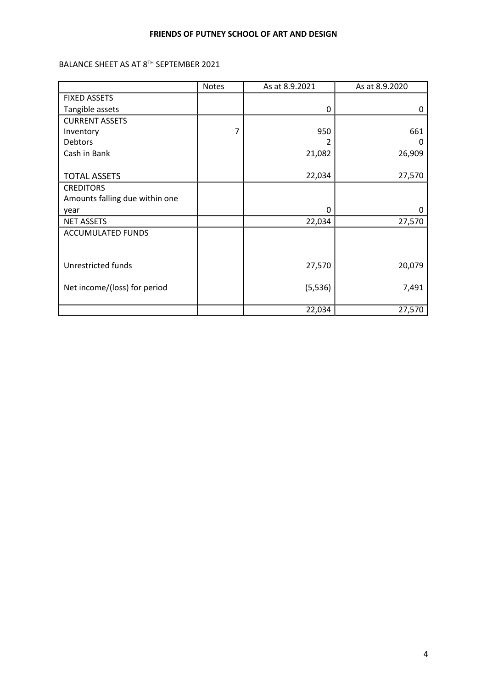BALANCE SHEET AS AT 8TH SEPTEMBER 2021

|                                | <b>Notes</b> | As at 8.9.2021 | As at 8.9.2020 |
|--------------------------------|--------------|----------------|----------------|
| <b>FIXED ASSETS</b>            |              |                |                |
| Tangible assets                |              | 0              | 0              |
| <b>CURRENT ASSETS</b>          |              |                |                |
| Inventory                      | 7            | 950            | 661            |
| Debtors                        |              |                | 0              |
| Cash in Bank                   |              | 21,082         | 26,909         |
|                                |              |                |                |
| <b>TOTAL ASSETS</b>            |              | 22,034         | 27,570         |
| <b>CREDITORS</b>               |              |                |                |
| Amounts falling due within one |              |                |                |
| year                           |              | 0              | 0              |
| <b>NET ASSETS</b>              |              | 22,034         | 27,570         |
| <b>ACCUMULATED FUNDS</b>       |              |                |                |
|                                |              |                |                |
|                                |              |                |                |
| Unrestricted funds             |              | 27,570         | 20,079         |
|                                |              |                |                |
| Net income/(loss) for period   |              | (5, 536)       | 7,491          |
|                                |              |                |                |
|                                |              | 22,034         | 27,570         |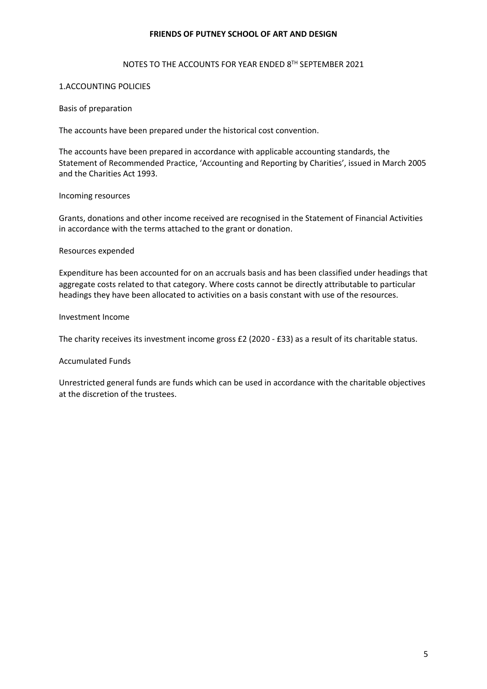### NOTES TO THE ACCOUNTS FOR YEAR ENDED 8TH SEPTEMBER 2021

## 1.ACCOUNTING POLICIES

### Basis of preparation

The accounts have been prepared under the historical cost convention.

The accounts have been prepared in accordance with applicable accounting standards, the Statement of Recommended Practice, 'Accounting and Reporting by Charities', issued in March 2005 and the Charities Act 1993.

### Incoming resources

Grants, donations and other income received are recognised in the Statement of Financial Activities in accordance with the terms attached to the grant or donation.

### Resources expended

Expenditure has been accounted for on an accruals basis and has been classified under headings that aggregate costs related to that category. Where costs cannot be directly attributable to particular headings they have been allocated to activities on a basis constant with use of the resources.

## Investment Income

The charity receives its investment income gross  $£2$  (2020 -  $£33$ ) as a result of its charitable status.

## Accumulated Funds

Unrestricted general funds are funds which can be used in accordance with the charitable objectives at the discretion of the trustees.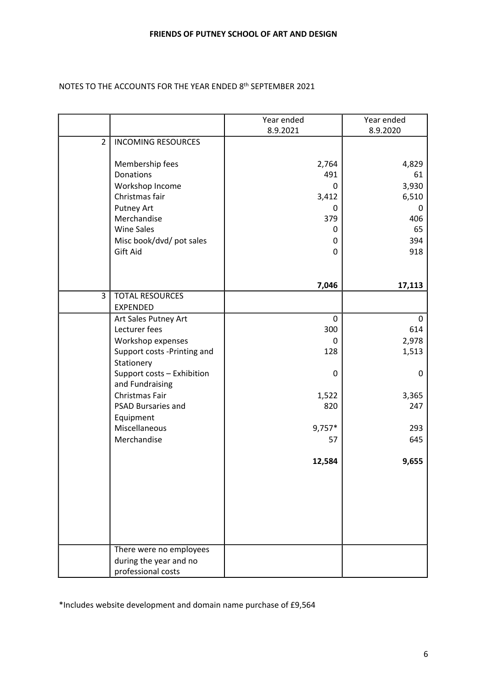## NOTES TO THE ACCOUNTS FOR THE YEAR ENDED 8<sup>th</sup> SEPTEMBER 2021

|                |                                           | Year ended  | Year ended   |
|----------------|-------------------------------------------|-------------|--------------|
|                |                                           | 8.9.2021    | 8.9.2020     |
| $\overline{2}$ | <b>INCOMING RESOURCES</b>                 |             |              |
|                | Membership fees                           | 2,764       | 4,829        |
|                | Donations                                 | 491         | 61           |
|                | Workshop Income                           | 0           | 3,930        |
|                | Christmas fair                            | 3,412       | 6,510        |
|                | <b>Putney Art</b>                         | 0           | 0            |
|                | Merchandise                               | 379         | 406          |
|                | <b>Wine Sales</b>                         | 0           | 65           |
|                | Misc book/dvd/ pot sales                  | 0           | 394          |
|                | Gift Aid                                  | 0           | 918          |
|                |                                           | 7,046       | 17,113       |
| 3              | <b>TOTAL RESOURCES</b>                    |             |              |
|                | <b>EXPENDED</b>                           |             |              |
|                | Art Sales Putney Art                      | $\mathbf 0$ | $\mathbf{0}$ |
|                | Lecturer fees                             | 300         | 614          |
|                | Workshop expenses                         | 0           | 2,978        |
|                | Support costs -Printing and<br>Stationery | 128         | 1,513        |
|                | Support costs - Exhibition                | 0           | 0            |
|                | and Fundraising                           |             |              |
|                | Christmas Fair                            | 1,522       | 3,365        |
|                | <b>PSAD Bursaries and</b>                 | 820         | 247          |
|                | Equipment<br>Miscellaneous                | $9,757*$    | 293          |
|                | Merchandise                               | 57          | 645          |
|                |                                           |             |              |
|                |                                           | 12,584      | 9,655        |
|                |                                           |             |              |
|                |                                           |             |              |
|                |                                           |             |              |
|                |                                           |             |              |
|                | There were no employees                   |             |              |
|                | during the year and no                    |             |              |
|                | professional costs                        |             |              |

\*Includes website development and domain name purchase of £9,564